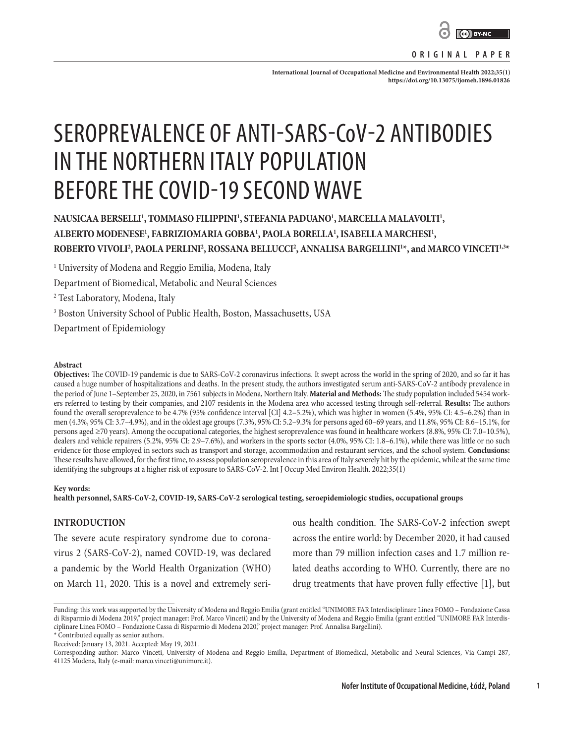

**ORIGINAL PAPER**

**International Journal of Occupational Medicine and Environmental Health 2022;35(1) <https://doi.org/10.13075/ijomeh.1896.01826>**

# SEROPREVALENCE OF ANTI-SARS-CoV-2 ANTIBODIES IN THE NORTHERN ITALY POPULATION BEFORE THE COVID-19 SECOND WAVE

# NAUSICAA BERSELLI<sup>1</sup>, TOMMASO FILIPPINI<sup>1</sup>, STEFANIA PADUANO<sup>1</sup>, MARCELLA MALAVOLTI<sup>1</sup>, **ALBERTO MODENESE1 , FABRIZIOMARIA GOBBA1 , PAOLA BORELLA1 , ISABELLA MARCHESI1 , ROBERTO VIVOLI2 , PAOLA PERLINI2 , ROSSANA BELLUCCI2 , ANNALISA BARGELLINI1 \*, and MARCO VINCETI1,3\***

1 University of Modena and Reggio Emilia, Modena, Italy

Department of Biomedical, Metabolic and Neural Sciences

2 Test Laboratory, Modena, Italy

3 Boston University School of Public Health, Boston, Massachusetts, USA

Department of Epidemiology

#### **Abstract**

**Objectives:** The COVID-19 pandemic is due to SARS-CoV-2 coronavirus infections. It swept across the world in the spring of 2020, and so far it has caused a huge number of hospitalizations and deaths. In the present study, the authors investigated serum anti-SARS-CoV-2 antibody prevalence in the period of June 1–September 25, 2020, in 7561 subjects in Modena, Northern Italy. **Material and Methods:** The study population included 5454 workers referred to testing by their companies, and 2107 residents in the Modena area who accessed testing through self-referral. **Results:** The authors found the overall seroprevalence to be 4.7% (95% confidence interval [CI] 4.2–5.2%), which was higher in women (5.4%, 95% CI: 4.5–6.2%) than in men (4.3%, 95% CI: 3.7–4.9%), and in the oldest age groups (7.3%, 95% CI: 5.2–9.3% for persons aged 60–69 years, and 11.8%, 95% CI: 8.6–15.1%, for persons aged ≥70 years). Among the occupational categories, the highest seroprevalence was found in healthcare workers (8.8%, 95% CI: 7.0–10.5%), dealers and vehicle repairers (5.2%, 95% CI: 2.9–7.6%), and workers in the sports sector (4.0%, 95% CI: 1.8–6.1%), while there was little or no such evidence for those employed in sectors such as transport and storage, accommodation and restaurant services, and the school system. **Conclusions:** These results have allowed, for the first time, to assess population seroprevalence in this area of Italy severely hit by the epidemic, while at the same time identifying the subgroups at a higher risk of exposure to SARS-CoV-2. Int J Occup Med Environ Health. 2022;35(1)

#### **Key words:**

**health personnel, SARS-CoV-2, COVID-19, SARS-CoV-2 serological testing, seroepidemiologic studies, occupational groups**

# **INTRODUCTION**

The severe acute respiratory syndrome due to coronavirus 2 (SARS-CoV-2), named COVID-19, was declared a pandemic by the World Health Organization (WHO) on March 11, 2020. This is a novel and extremely seri-

ous health condition. The SARS-CoV-2 infection swept across the entire world: by December 2020, it had caused more than 79 million infection cases and 1.7 million related deaths according to WHO. Currently, there are no drug treatments that have proven fully effective [1], but

**1**

Funding: this work was supported by the University of Modena and Reggio Emilia (grant entitled "UNIMORE FAR Interdisciplinare Linea FOMO – Fondazione Cassa di Risparmio di Modena 2019," project manager: Prof. Marco Vinceti) and by the University of Modena and Reggio Emilia (grant entitled "UNIMORE FAR Interdisciplinare Linea FOMO – Fondazione Cassa di Risparmio di Modena 2020," project manager: Prof. Annalisa Bargellini).

<sup>\*</sup> Contributed equally as senior authors.

Received: January 13, 2021. Accepted: May 19, 2021.

Corresponding author: Marco Vinceti, University of Modena and Reggio Emilia, Department of Biomedical, Metabolic and Neural Sciences, Via Campi 287, 41125 Modena, Italy (e-mail: marco.vinceti@unimore.it).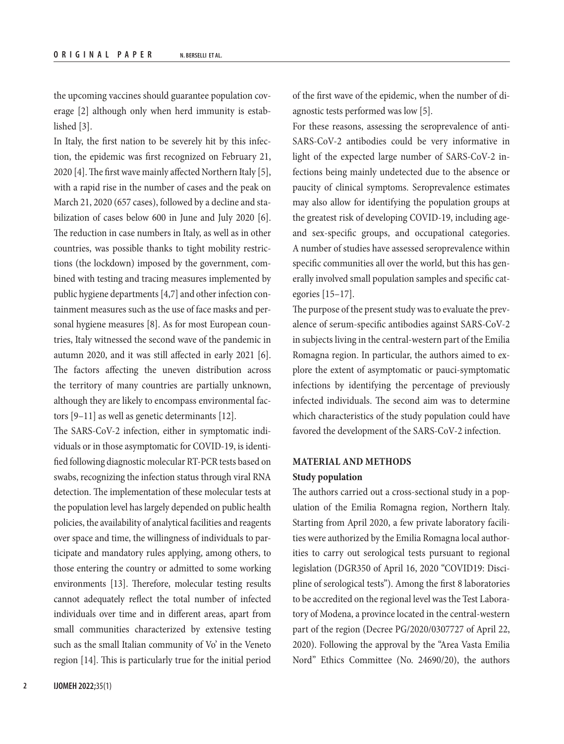the upcoming vaccines should guarantee population coverage [2] although only when herd immunity is established [3].

In Italy, the first nation to be severely hit by this infection, the epidemic was first recognized on February 21, 2020 [4]. The first wave mainly affected Northern Italy [5], with a rapid rise in the number of cases and the peak on March 21, 2020 (657 cases), followed by a decline and stabilization of cases below 600 in June and July 2020 [6]. The reduction in case numbers in Italy, as well as in other countries, was possible thanks to tight mobility restrictions (the lockdown) imposed by the government, combined with testing and tracing measures implemented by public hygiene departments [4,7] and other infection containment measures such as the use of face masks and personal hygiene measures [8]. As for most European countries, Italy witnessed the second wave of the pandemic in autumn 2020, and it was still affected in early 2021 [6]. The factors affecting the uneven distribution across the territory of many countries are partially unknown, although they are likely to encompass environmental factors [9–11] as well as genetic determinants [12].

The SARS-CoV-2 infection, either in symptomatic individuals or in those asymptomatic for COVID-19, is identified following diagnostic molecular RT-PCR tests based on swabs, recognizing the infection status through viral RNA detection. The implementation of these molecular tests at the population level has largely depended on public health policies, the availability of analytical facilities and reagents over space and time, the willingness of individuals to participate and mandatory rules applying, among others, to those entering the country or admitted to some working environments [13]. Therefore, molecular testing results cannot adequately reflect the total number of infected individuals over time and in different areas, apart from small communities characterized by extensive testing such as the small Italian community of Vo' in the Veneto region [14]. This is particularly true for the initial period of the first wave of the epidemic, when the number of diagnostic tests performed was low [5].

For these reasons, assessing the seroprevalence of anti-SARS-CoV-2 antibodies could be very informative in light of the expected large number of SARS-CoV-2 infections being mainly undetected due to the absence or paucity of clinical symptoms. Seroprevalence estimates may also allow for identifying the population groups at the greatest risk of developing COVID-19, including ageand sex-specific groups, and occupational categories. A number of studies have assessed seroprevalence within specific communities all over the world, but this has generally involved small population samples and specific categories [15–17].

The purpose of the present study was to evaluate the prevalence of serum-specific antibodies against SARS-CoV-2 in subjects living in the central-western part of the Emilia Romagna region. In particular, the authors aimed to explore the extent of asymptomatic or pauci-symptomatic infections by identifying the percentage of previously infected individuals. The second aim was to determine which characteristics of the study population could have favored the development of the SARS-CoV-2 infection.

# **MATERIAL AND METHODS Study population**

The authors carried out a cross-sectional study in a population of the Emilia Romagna region, Northern Italy. Starting from April 2020, a few private laboratory facilities were authorized by the Emilia Romagna local authorities to carry out serological tests pursuant to regional legislation (DGR350 of April 16, 2020 "COVID19: Discipline of serological tests"). Among the first 8 laboratories to be accredited on the regional level was the Test Laboratory of Modena, a province located in the central-western part of the region (Decree PG/2020/0307727 of April 22, 2020). Following the approval by the "Area Vasta Emilia Nord" Ethics Committee (No. 24690/20), the authors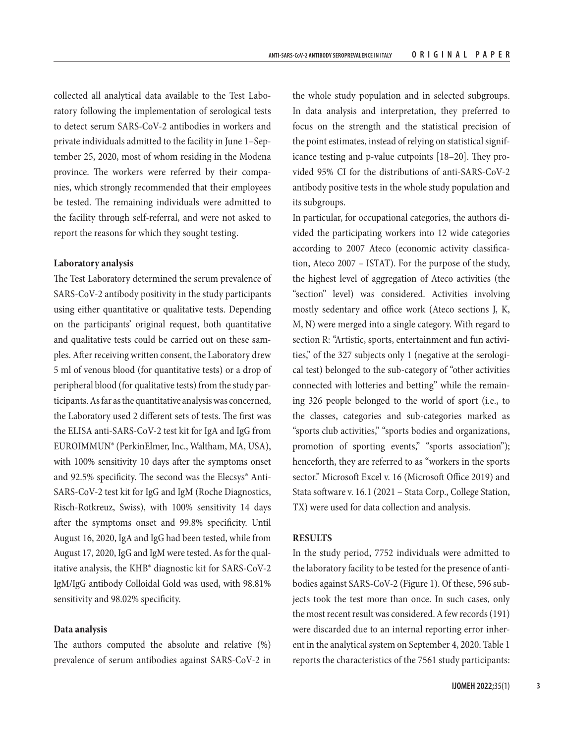collected all analytical data available to the Test Laboratory following the implementation of serological tests to detect serum SARS-CoV-2 antibodies in workers and private individuals admitted to the facility in June 1–September 25, 2020, most of whom residing in the Modena province. The workers were referred by their companies, which strongly recommended that their employees be tested. The remaining individuals were admitted to the facility through self-referral, and were not asked to report the reasons for which they sought testing.

# **Laboratory analysis**

The Test Laboratory determined the serum prevalence of SARS-CoV-2 antibody positivity in the study participants using either quantitative or qualitative tests. Depending on the participants' original request, both quantitative and qualitative tests could be carried out on these samples. After receiving written consent, the Laboratory drew 5 ml of venous blood (for quantitative tests) or a drop of peripheral blood (for qualitative tests) from the study participants. As far as the quantitative analysis was concerned, the Laboratory used 2 different sets of tests. The first was the ELISA anti-SARS-CoV-2 test kit for IgA and IgG from EUROIMMUN® (PerkinElmer, Inc., Waltham, MA, USA), with 100% sensitivity 10 days after the symptoms onset and 92.5% specificity. The second was the Elecsys® Anti-SARS-CoV-2 test kit for IgG and IgM (Roche Diagnostics, Risch-Rotkreuz, Swiss), with 100% sensitivity 14 days after the symptoms onset and 99.8% specificity. Until August 16, 2020, IgA and IgG had been tested, while from August 17, 2020, IgG and IgM were tested. As for the qualitative analysis, the KHB® diagnostic kit for SARS-CoV-2 IgM/IgG antibody Colloidal Gold was used, with 98.81% sensitivity and 98.02% specificity.

# **Data analysis**

The authors computed the absolute and relative (%) prevalence of serum antibodies against SARS-CoV-2 in

the whole study population and in selected subgroups. In data analysis and interpretation, they preferred to focus on the strength and the statistical precision of the point estimates, instead of relying on statistical significance testing and p-value cutpoints [18–20]. They provided 95% CI for the distributions of anti-SARS-CoV-2 antibody positive tests in the whole study population and its subgroups.

In particular, for occupational categories, the authors divided the participating workers into 12 wide categories according to 2007 Ateco (economic activity classification, Ateco 2007 – ISTAT). For the purpose of the study, the highest level of aggregation of Ateco activities (the "section" level) was considered. Activities involving mostly sedentary and office work (Ateco sections J, K, M, N) were merged into a single category. With regard to section R: "Artistic, sports, entertainment and fun activities," of the 327 subjects only 1 (negative at the serological test) belonged to the sub-category of "other activities connected with lotteries and betting" while the remaining 326 people belonged to the world of sport (i.e., to the classes, categories and sub-categories marked as "sports club activities," "sports bodies and organizations, promotion of sporting events," "sports association"); henceforth, they are referred to as "workers in the sports sector." Microsoft Excel v. 16 (Microsoft Office 2019) and Stata software v. 16.1 (2021 – Stata Corp., College Station, TX) were used for data collection and analysis.

### **RESULTS**

In the study period, 7752 individuals were admitted to the laboratory facility to be tested for the presence of antibodies against SARS-CoV-2 (Figure 1). Of these, 596 subjects took the test more than once. In such cases, only the most recent result was considered. A few records (191) were discarded due to an internal reporting error inherent in the analytical system on September 4, 2020. Table 1 reports the characteristics of the 7561 study participants: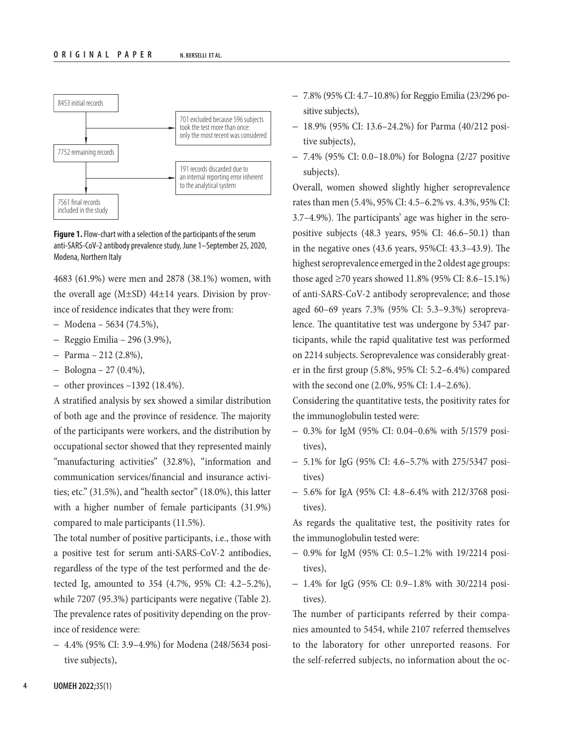

**Figure 1.** Flow-chart with a selection of the participants of the serum anti-SARS-CoV-2 antibody prevalence study, June 1–September 25, 2020, Modena, Northern Italy

4683 (61.9%) were men and 2878 (38.1%) women, with the overall age  $(M\pm SD)$  44 $\pm$ 14 years. Division by province of residence indicates that they were from:

- Modena 5634 (74.5%),
- Reggio Emilia 296 (3.9%),
- Parma 212 (2.8%),
- $-$  Bologna  $-$  27 (0.4%),
- other provinces  $-1392$  (18.4%).

A stratified analysis by sex showed a similar distribution of both age and the province of residence. The majority of the participants were workers, and the distribution by occupational sector showed that they represented mainly "manufacturing activities" (32.8%), "information and communication services/financial and insurance activities; etc." (31.5%), and "health sector" (18.0%), this latter with a higher number of female participants (31.9%) compared to male participants (11.5%).

The total number of positive participants, i.e., those with a positive test for serum anti-SARS-CoV-2 antibodies, regardless of the type of the test performed and the detected Ig, amounted to 354 (4.7%, 95% CI: 4.2–5.2%), while 7207 (95.3%) participants were negative (Table 2). The prevalence rates of positivity depending on the province of residence were:

– 4.4% (95% CI: 3.9–4.9%) for Modena (248/5634 positive subjects),

- 7.8% (95% CI: 4.7–10.8%) for Reggio Emilia (23/296 positive subjects),
- 18.9% (95% CI: 13.6–24.2%) for Parma (40/212 positive subjects),
- 7.4% (95% CI: 0.0–18.0%) for Bologna (2/27 positive subjects).

Overall, women showed slightly higher seroprevalence rates than men (5.4%, 95% CI: 4.5–6.2% vs. 4.3%, 95% CI: 3.7–4.9%). The participants' age was higher in the seropositive subjects (48.3 years, 95% CI: 46.6–50.1) than in the negative ones (43.6 years, 95%CI: 43.3–43.9). The highest seroprevalence emerged in the 2 oldest age groups: those aged ≥70 years showed 11.8% (95% CI: 8.6–15.1%) of anti-SARS-CoV-2 antibody seroprevalence; and those aged 60–69 years 7.3% (95% CI: 5.3–9.3%) seroprevalence. The quantitative test was undergone by 5347 participants, while the rapid qualitative test was performed on 2214 subjects. Seroprevalence was considerably greater in the first group (5.8%, 95% CI: 5.2–6.4%) compared with the second one (2.0%, 95% CI: 1.4–2.6%).

Considering the quantitative tests, the positivity rates for the immunoglobulin tested were:

- 0.3% for IgM (95% CI: 0.04–0.6% with 5/1579 positives),
- 5.1% for IgG (95% CI: 4.6–5.7% with 275/5347 positives)
- 5.6% for IgA (95% CI: 4.8–6.4% with 212/3768 positives).

As regards the qualitative test, the positivity rates for the immunoglobulin tested were:

- 0.9% for IgM (95% CI: 0.5–1.2% with 19/2214 positives),
- 1.4% for IgG (95% CI: 0.9–1.8% with 30/2214 positives).

The number of participants referred by their companies amounted to 5454, while 2107 referred themselves to the laboratory for other unreported reasons. For the self-referred subjects, no information about the oc-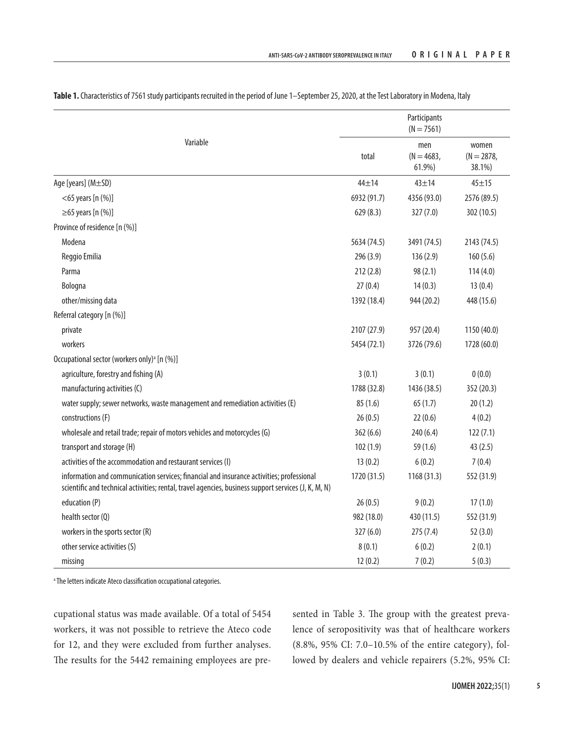|                                                                                                                                                                                                  | Participants<br>$(N = 7561)$ |                               |                                 |  |  |
|--------------------------------------------------------------------------------------------------------------------------------------------------------------------------------------------------|------------------------------|-------------------------------|---------------------------------|--|--|
| Variable                                                                                                                                                                                         | total                        | men<br>$(N = 4683,$<br>61.9%) | women<br>$(N = 2878,$<br>38.1%) |  |  |
| Age [years] (M±SD)                                                                                                                                                                               | $44 + 14$                    | $43 + 14$                     | $45 + 15$                       |  |  |
| $<$ 65 years [n $(\%)$ ]                                                                                                                                                                         | 6932 (91.7)                  | 4356 (93.0)                   | 2576 (89.5)                     |  |  |
| $\geq$ 65 years [n (%)]                                                                                                                                                                          | 629(8.3)                     | 327 (7.0)                     | 302 (10.5)                      |  |  |
| Province of residence [n (%)]                                                                                                                                                                    |                              |                               |                                 |  |  |
| Modena                                                                                                                                                                                           | 5634 (74.5)                  | 3491 (74.5)                   | 2143 (74.5)                     |  |  |
| Reggio Emilia                                                                                                                                                                                    | 296(3.9)                     | 136(2.9)                      | 160(5.6)                        |  |  |
| Parma                                                                                                                                                                                            | 212(2.8)                     | 98 (2.1)                      | 114(4.0)                        |  |  |
| Bologna                                                                                                                                                                                          | 27(0.4)                      | 14(0.3)                       | 13(0.4)                         |  |  |
| other/missing data                                                                                                                                                                               | 1392 (18.4)                  | 944 (20.2)                    | 448 (15.6)                      |  |  |
| Referral category [n (%)]                                                                                                                                                                        |                              |                               |                                 |  |  |
| private                                                                                                                                                                                          | 2107 (27.9)                  | 957 (20.4)                    | 1150 (40.0)                     |  |  |
| workers                                                                                                                                                                                          | 5454 (72.1)                  | 3726 (79.6)                   | 1728 (60.0)                     |  |  |
| Occupational sector (workers only) <sup>a</sup> [n (%)]                                                                                                                                          |                              |                               |                                 |  |  |
| agriculture, forestry and fishing (A)                                                                                                                                                            | 3(0.1)                       | 3(0.1)                        | 0(0.0)                          |  |  |
| manufacturing activities (C)                                                                                                                                                                     | 1788 (32.8)                  | 1436 (38.5)                   | 352 (20.3)                      |  |  |
| water supply; sewer networks, waste management and remediation activities (E)                                                                                                                    | 85(1.6)                      | 65(1.7)                       | 20(1.2)                         |  |  |
| constructions (F)                                                                                                                                                                                | 26(0.5)                      | 22(0.6)                       | 4(0.2)                          |  |  |
| wholesale and retail trade; repair of motors vehicles and motorcycles (G)                                                                                                                        | 362(6.6)                     | 240 (6.4)                     | 122(7.1)                        |  |  |
| transport and storage (H)                                                                                                                                                                        | 102(1.9)                     | 59 (1.6)                      | 43(2.5)                         |  |  |
| activities of the accommodation and restaurant services (I)                                                                                                                                      | 13(0.2)                      | 6(0.2)                        | 7(0.4)                          |  |  |
| information and communication services; financial and insurance activities; professional<br>scientific and technical activities; rental, travel agencies, business support services (J, K, M, N) | 1720 (31.5)                  | 1168(31.3)                    | 552 (31.9)                      |  |  |
| education (P)                                                                                                                                                                                    | 26(0.5)                      | 9(0.2)                        | 17(1.0)                         |  |  |
| health sector (Q)                                                                                                                                                                                | 982 (18.0)                   | 430 (11.5)                    | 552 (31.9)                      |  |  |
| workers in the sports sector (R)                                                                                                                                                                 | 327(6.0)                     | 275(7.4)                      | 52(3.0)                         |  |  |
| other service activities (S)                                                                                                                                                                     | 8(0.1)                       | 6(0.2)                        | 2(0.1)                          |  |  |
| missing                                                                                                                                                                                          | 12(0.2)                      | 7(0.2)                        | 5(0.3)                          |  |  |

Table 1. Characteristics of 7561 study participants recruited in the period of June 1-September 25, 2020, at the Test Laboratory in Modena, Italy

a The letters indicate Ateco classification occupational categories.

cupational status was made available. Of a total of 5454 workers, it was not possible to retrieve the Ateco code for 12, and they were excluded from further analyses. The results for the 5442 remaining employees are presented in Table 3. The group with the greatest prevalence of seropositivity was that of healthcare workers (8.8%, 95% CI: 7.0–10.5% of the entire category), followed by dealers and vehicle repairers (5.2%, 95% CI: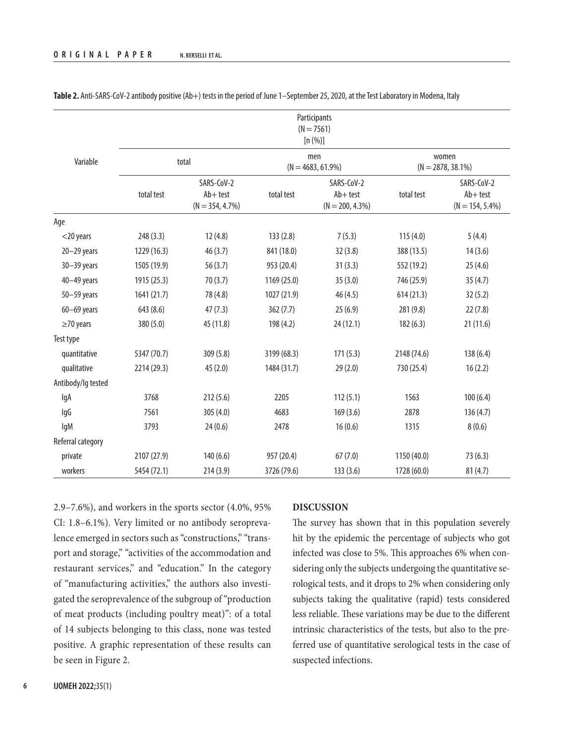|                    | Participants<br>$(N = 7561)$<br>[n (%)] |                                                 |                             |                                                 |                               |                                                 |  |
|--------------------|-----------------------------------------|-------------------------------------------------|-----------------------------|-------------------------------------------------|-------------------------------|-------------------------------------------------|--|
| Variable           | total                                   |                                                 | men<br>$(N = 4683, 61.9\%)$ |                                                 | women<br>$(N = 2878, 38.1\%)$ |                                                 |  |
|                    | total test                              | SARS-CoV-2<br>$Ab + test$<br>$(N = 354, 4.7\%)$ | total test                  | SARS-CoV-2<br>$Ab + test$<br>$(N = 200, 4.3\%)$ | total test                    | SARS-CoV-2<br>$Ab + test$<br>$(N = 154, 5.4\%)$ |  |
| Age                |                                         |                                                 |                             |                                                 |                               |                                                 |  |
| $<$ 20 years       | 248(3.3)                                | 12(4.8)                                         | 133(2.8)                    | 7(5.3)                                          | 115(4.0)                      | 5(4.4)                                          |  |
| $20 - 29$ years    | 1229 (16.3)                             | 46(3.7)                                         | 841 (18.0)                  | 32(3.8)                                         | 388 (13.5)                    | 14(3.6)                                         |  |
| $30 - 39$ years    | 1505 (19.9)                             | 56(3.7)                                         | 953 (20.4)                  | 31(3.3)                                         | 552 (19.2)                    | 25(4.6)                                         |  |
| $40 - 49$ years    | 1915 (25.3)                             | 70(3.7)                                         | 1169 (25.0)                 | 35(3.0)                                         | 746 (25.9)                    | 35(4.7)                                         |  |
| $50 - 59$ years    | 1641 (21.7)                             | 78 (4.8)                                        | 1027 (21.9)                 | 46(4.5)                                         | 614(21.3)                     | 32(5.2)                                         |  |
| $60 - 69$ years    | 643 (8.6)                               | 47(7.3)                                         | 362(7.7)                    | 25(6.9)                                         | 281 (9.8)                     | 22(7.8)                                         |  |
| $\geq$ 70 years    | 380 (5.0)                               | 45 (11.8)                                       | 198 (4.2)                   | 24(12.1)                                        | 182(6.3)                      | 21(11.6)                                        |  |
| Test type          |                                         |                                                 |                             |                                                 |                               |                                                 |  |
| quantitative       | 5347 (70.7)                             | 309 (5.8)                                       | 3199 (68.3)                 | 171(5.3)                                        | 2148 (74.6)                   | 138(6.4)                                        |  |
| qualitative        | 2214 (29.3)                             | 45(2.0)                                         | 1484 (31.7)                 | 29(2.0)                                         | 730 (25.4)                    | 16(2.2)                                         |  |
| Antibody/lg tested |                                         |                                                 |                             |                                                 |                               |                                                 |  |
| lgA                | 3768                                    | 212(5.6)                                        | 2205                        | 112(5.1)                                        | 1563                          | 100(6.4)                                        |  |
| lgG                | 7561                                    | 305(4.0)                                        | 4683                        | 169(3.6)                                        | 2878                          | 136(4.7)                                        |  |
| lgM                | 3793                                    | 24(0.6)                                         | 2478                        | 16(0.6)                                         | 1315                          | 8(0.6)                                          |  |
| Referral category  |                                         |                                                 |                             |                                                 |                               |                                                 |  |
| private            | 2107 (27.9)                             | 140(6.6)                                        | 957 (20.4)                  | 67(7.0)                                         | 1150 (40.0)                   | 73(6.3)                                         |  |
| workers            | 5454 (72.1)                             | 214(3.9)                                        | 3726 (79.6)                 | 133(3.6)                                        | 1728 (60.0)                   | 81(4.7)                                         |  |

**Table 2.** Anti-SARS-CoV-2 antibody positive (Ab+) tests in the period of June 1–September 25, 2020, at the Test Laboratory in Modena, Italy

2.9–7.6%), and workers in the sports sector (4.0%, 95% CI: 1.8–6.1%). Very limited or no antibody seroprevalence emerged in sectors such as "constructions," "transport and storage," "activities of the accommodation and restaurant services," and "education." In the category of "manufacturing activities," the authors also investigated the seroprevalence of the subgroup of "production of meat products (including poultry meat)": of a total of 14 subjects belonging to this class, none was tested positive. A graphic representation of these results can be seen in Figure 2.

## **DISCUSSION**

The survey has shown that in this population severely hit by the epidemic the percentage of subjects who got infected was close to 5%. This approaches 6% when considering only the subjects undergoing the quantitative serological tests, and it drops to 2% when considering only subjects taking the qualitative (rapid) tests considered less reliable. These variations may be due to the different intrinsic characteristics of the tests, but also to the preferred use of quantitative serological tests in the case of suspected infections.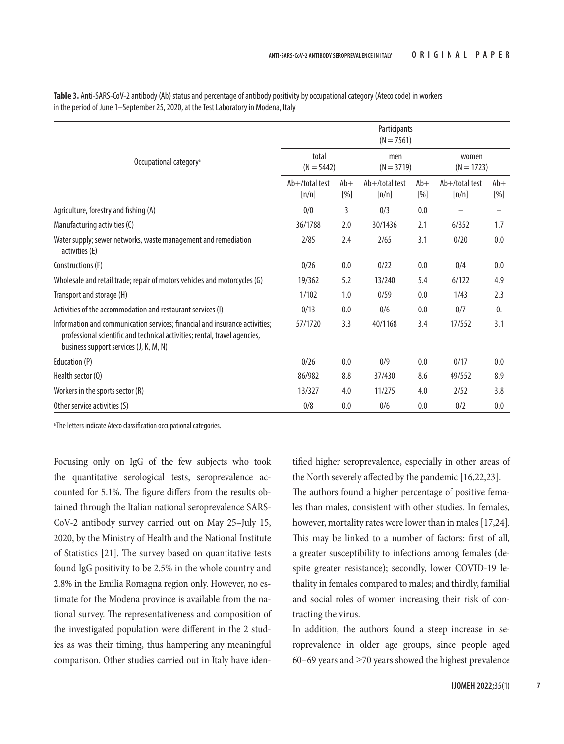|                                                                                                                                                                                                     | Participants<br>$(N = 7561)$ |              |                            |              |                            |                |  |  |
|-----------------------------------------------------------------------------------------------------------------------------------------------------------------------------------------------------|------------------------------|--------------|----------------------------|--------------|----------------------------|----------------|--|--|
| Occupational category <sup>a</sup>                                                                                                                                                                  | total<br>$(N = 5442)$        |              | men<br>$(N = 3719)$        |              | women<br>$(N = 1723)$      |                |  |  |
|                                                                                                                                                                                                     | Ab+/total test<br>[n/n]      | $Ab+$<br>[%] | $Ab+$ /total test<br>[n/n] | $Ab+$<br>[%] | $Ab+$ /total test<br>[n/n] | $Ab+$<br>[%]   |  |  |
| Agriculture, forestry and fishing (A)                                                                                                                                                               | 0/0                          | 3            | 0/3                        | 0.0          |                            |                |  |  |
| Manufacturing activities (C)                                                                                                                                                                        | 36/1788                      | 2.0          | 30/1436                    | 2.1          | 6/352                      | 1.7            |  |  |
| Water supply; sewer networks, waste management and remediation<br>activities (E)                                                                                                                    | 2/85                         | 2.4          | 2/65                       | 3.1          | 0/20                       | 0.0            |  |  |
| Constructions (F)                                                                                                                                                                                   | 0/26                         | 0.0          | 0/22                       | 0.0          | 0/4                        | 0.0            |  |  |
| Wholesale and retail trade; repair of motors vehicles and motorcycles (G)                                                                                                                           | 19/362                       | 5.2          | 13/240                     | 5.4          | 6/122                      | 4.9            |  |  |
| Transport and storage (H)                                                                                                                                                                           | 1/102                        | 1.0          | 0/59                       | 0.0          | 1/43                       | 2.3            |  |  |
| Activities of the accommodation and restaurant services (I)                                                                                                                                         | 0/13                         | 0.0          | 0/6                        | 0.0          | 0/7                        | $\mathbf{0}$ . |  |  |
| Information and communication services; financial and insurance activities;<br>professional scientific and technical activities; rental, travel agencies,<br>business support services (J, K, M, N) | 57/1720                      | 3.3          | 40/1168                    | 3.4          | 17/552                     | 3.1            |  |  |
| Education (P)                                                                                                                                                                                       | 0/26                         | 0.0          | 0/9                        | 0.0          | 0/17                       | 0.0            |  |  |
| Health sector (Q)                                                                                                                                                                                   | 86/982                       | 8.8          | 37/430                     | 8.6          | 49/552                     | 8.9            |  |  |
| Workers in the sports sector (R)                                                                                                                                                                    | 13/327                       | 4.0          | 11/275                     | 4.0          | 2/52                       | 3.8            |  |  |
| Other service activities (S)                                                                                                                                                                        | 0/8                          | 0.0          | 0/6                        | 0.0          | 0/2                        | 0.0            |  |  |

**Table 3.** Anti-SARS-CoV-2 antibody (Ab) status and percentage of antibody positivity by occupational category (Ateco code) in workers in the period of June 1–September 25, 2020, at the Test Laboratory in Modena, Italy

a The letters indicate Ateco classification occupational categories.

Focusing only on IgG of the few subjects who took the quantitative serological tests, seroprevalence accounted for 5.1%. The figure differs from the results obtained through the Italian national seroprevalence SARS-CoV-2 antibody survey carried out on May 25–July 15, 2020, by the Ministry of Health and the National Institute of Statistics [21]. The survey based on quantitative tests found IgG positivity to be 2.5% in the whole country and 2.8% in the Emilia Romagna region only. However, no estimate for the Modena province is available from the national survey. The representativeness and composition of the investigated population were different in the 2 studies as was their timing, thus hampering any meaningful comparison. Other studies carried out in Italy have iden-

tified higher seroprevalence, especially in other areas of the North severely affected by the pandemic [16,22,23]. The authors found a higher percentage of positive females than males, consistent with other studies. In females, however, mortality rates were lower than in males [17,24]. This may be linked to a number of factors: first of all, a greater susceptibility to infections among females (despite greater resistance); secondly, lower COVID-19 lethality in females compared to males; and thirdly, familial and social roles of women increasing their risk of contracting the virus.

In addition, the authors found a steep increase in seroprevalence in older age groups, since people aged 60–69 years and  $\geq$ 70 years showed the highest prevalence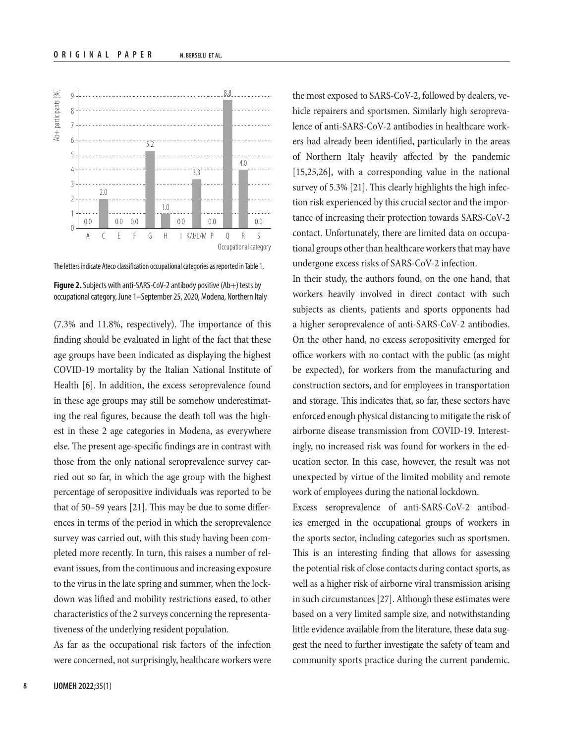

The letters indicate Ateco classification occupational categories as reported in Table 1.

**Figure 2.** Subjects with anti-SARS-CoV-2 antibody positive (Ab+) tests by occupational category, June 1–September 25, 2020, Modena, Northern Italy

(7.3% and 11.8%, respectively). The importance of this finding should be evaluated in light of the fact that these age groups have been indicated as displaying the highest COVID-19 mortality by the Italian National Institute of Health [6]. In addition, the excess seroprevalence found in these age groups may still be somehow underestimating the real figures, because the death toll was the highest in these 2 age categories in Modena, as everywhere else. The present age-specific findings are in contrast with those from the only national seroprevalence survey carried out so far, in which the age group with the highest percentage of seropositive individuals was reported to be that of 50–59 years [21]. This may be due to some differences in terms of the period in which the seroprevalence survey was carried out, with this study having been completed more recently. In turn, this raises a number of relevant issues, from the continuous and increasing exposure to the virus in the late spring and summer, when the lockdown was lifted and mobility restrictions eased, to other characteristics of the 2 surveys concerning the representativeness of the underlying resident population.

As far as the occupational risk factors of the infection were concerned, not surprisingly, healthcare workers were

the most exposed to SARS-CoV-2, followed by dealers, vehicle repairers and sportsmen. Similarly high seroprevalence of anti-SARS-CoV-2 antibodies in healthcare workers had already been identified, particularly in the areas of Northern Italy heavily affected by the pandemic [15,25,26], with a corresponding value in the national survey of 5.3% [21]. This clearly highlights the high infection risk experienced by this crucial sector and the importance of increasing their protection towards SARS-CoV-2 contact. Unfortunately, there are limited data on occupational groups other than healthcare workers that may have undergone excess risks of SARS-CoV-2 infection.

In their study, the authors found, on the one hand, that workers heavily involved in direct contact with such subjects as clients, patients and sports opponents had a higher seroprevalence of anti-SARS-CoV-2 antibodies. On the other hand, no excess seropositivity emerged for office workers with no contact with the public (as might be expected), for workers from the manufacturing and construction sectors, and for employees in transportation and storage. This indicates that, so far, these sectors have enforced enough physical distancing to mitigate the risk of airborne disease transmission from COVID-19. Interestingly, no increased risk was found for workers in the education sector. In this case, however, the result was not unexpected by virtue of the limited mobility and remote work of employees during the national lockdown.

Excess seroprevalence of anti-SARS-CoV-2 antibodies emerged in the occupational groups of workers in the sports sector, including categories such as sportsmen. This is an interesting finding that allows for assessing the potential risk of close contacts during contact sports, as well as a higher risk of airborne viral transmission arising in such circumstances [27]. Although these estimates were based on a very limited sample size, and notwithstanding little evidence available from the literature, these data suggest the need to further investigate the safety of team and community sports practice during the current pandemic.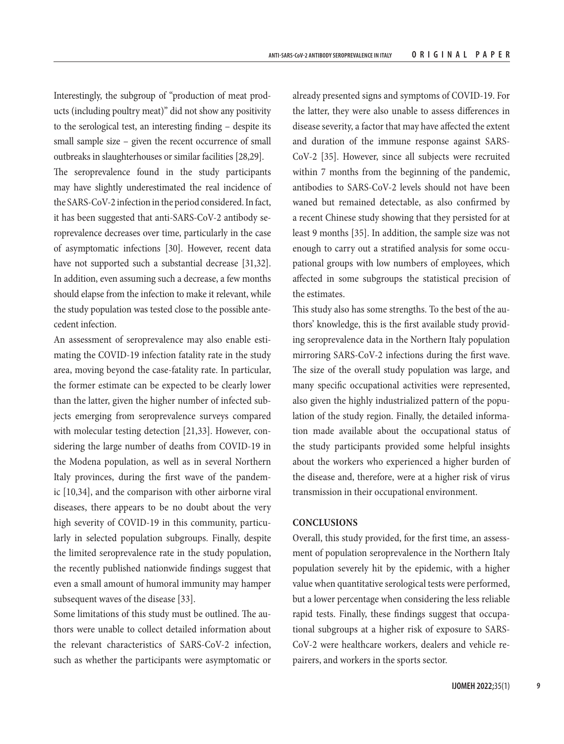Interestingly, the subgroup of "production of meat products (including poultry meat)" did not show any positivity to the serological test, an interesting finding – despite its small sample size – given the recent occurrence of small outbreaks in slaughterhouses or similar facilities [28,29].

The seroprevalence found in the study participants may have slightly underestimated the real incidence of the SARS-CoV-2 infection in the period considered. In fact, it has been suggested that anti-SARS-CoV-2 antibody seroprevalence decreases over time, particularly in the case of asymptomatic infections [30]. However, recent data have not supported such a substantial decrease [31,32]. In addition, even assuming such a decrease, a few months should elapse from the infection to make it relevant, while the study population was tested close to the possible antecedent infection.

An assessment of seroprevalence may also enable estimating the COVID-19 infection fatality rate in the study area, moving beyond the case-fatality rate. In particular, the former estimate can be expected to be clearly lower than the latter, given the higher number of infected subjects emerging from seroprevalence surveys compared with molecular testing detection [21,33]. However, considering the large number of deaths from COVID-19 in the Modena population, as well as in several Northern Italy provinces, during the first wave of the pandemic [10,34], and the comparison with other airborne viral diseases, there appears to be no doubt about the very high severity of COVID-19 in this community, particularly in selected population subgroups. Finally, despite the limited seroprevalence rate in the study population, the recently published nationwide findings suggest that even a small amount of humoral immunity may hamper subsequent waves of the disease [33].

Some limitations of this study must be outlined. The authors were unable to collect detailed information about the relevant characteristics of SARS-CoV-2 infection, such as whether the participants were asymptomatic or

already presented signs and symptoms of COVID-19. For the latter, they were also unable to assess differences in disease severity, a factor that may have affected the extent and duration of the immune response against SARS-CoV-2 [35]. However, since all subjects were recruited within 7 months from the beginning of the pandemic, antibodies to SARS-CoV-2 levels should not have been waned but remained detectable, as also confirmed by a recent Chinese study showing that they persisted for at least 9 months [35]. In addition, the sample size was not enough to carry out a stratified analysis for some occupational groups with low numbers of employees, which affected in some subgroups the statistical precision of the estimates.

This study also has some strengths. To the best of the authors' knowledge, this is the first available study providing seroprevalence data in the Northern Italy population mirroring SARS-CoV-2 infections during the first wave. The size of the overall study population was large, and many specific occupational activities were represented, also given the highly industrialized pattern of the population of the study region. Finally, the detailed information made available about the occupational status of the study participants provided some helpful insights about the workers who experienced a higher burden of the disease and, therefore, were at a higher risk of virus transmission in their occupational environment.

### **CONCLUSIONS**

Overall, this study provided, for the first time, an assessment of population seroprevalence in the Northern Italy population severely hit by the epidemic, with a higher value when quantitative serological tests were performed, but a lower percentage when considering the less reliable rapid tests. Finally, these findings suggest that occupational subgroups at a higher risk of exposure to SARS-CoV-2 were healthcare workers, dealers and vehicle repairers, and workers in the sports sector.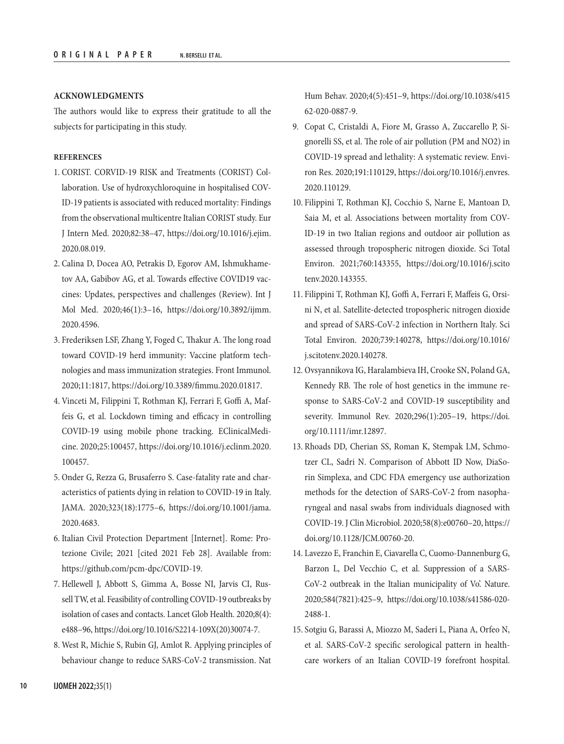## **ACKNOWLEDGMENTS**

The authors would like to express their gratitude to all the subjects for participating in this study.

## **REFERENCES**

- 1. CORIST. CORVID-19 RISK and Treatments (CORIST) Collaboration. Use of hydroxychloroquine in hospitalised COV-ID-19 patients is associated with reduced mortality: Findings from the observational multicentre Italian CORIST study. Eur J Intern Med. 2020;82:38–47, [https://doi.org/10.1016/j.ejim.](https://doi.org/10.1016/j.ejim.2020.08.019) [2020.08.019](https://doi.org/10.1016/j.ejim.2020.08.019).
- 2. Calina D, Docea AO, Petrakis D, Egorov AM, Ishmukhametov AA, Gabibov AG, et al. Towards effective COVID19 vaccines: Updates, perspectives and challenges (Review). Int J Mol Med. 2020;46(1):3–16, [https://doi.org/10.3892/ijmm.](https://doi.org/10.3892/ijmm.2020.4596) [2020.4596.](https://doi.org/10.3892/ijmm.2020.4596)
- 3. Frederiksen LSF, Zhang Y, Foged C, Thakur A. The long road toward COVID-19 herd immunity: Vaccine platform technologies and mass immunization strategies. Front Immunol. 2020;11:1817, [https://doi.org/10.3389/fimmu.2020.01817.](https://doi.org/10.3389/fimmu.2020.01817)
- 4. Vinceti M, Filippini T, Rothman KJ, Ferrari F, Goffi A, Maffeis G, et al. Lockdown timing and efficacy in controlling COVID-19 using mobile phone tracking. EClinicalMedicine. 2020;25:100457, [https://doi.org/10.1016/j.eclinm.2020.](https://doi.org/10.1016/j.eclinm.2020.100457) [100457.](https://doi.org/10.1016/j.eclinm.2020.100457)
- 5. Onder G, Rezza G, Brusaferro S. Case-fatality rate and characteristics of patients dying in relation to COVID-19 in Italy. JAMA. 2020;323(18):1775–6, [https://doi.org/10.1001/jama.](https://doi.org/10.1001/jama.2020.4683) [2020.4683.](https://doi.org/10.1001/jama.2020.4683)
- 6. Italian Civil Protection Department [Internet]. Rome: Protezione Civile; 2021 [cited 2021 Feb 28]. Available from: [https://github.com/pcm-dpc/COVID-19.](https://github.com/pcm-dpc/COVID-19)
- 7. Hellewell J, Abbott S, Gimma A, Bosse NI, Jarvis CI, Russell TW, et al. Feasibility of controlling COVID-19 outbreaks by isolation of cases and contacts. Lancet Glob Health. 2020;8(4): e488–96, [https://doi.org/10.1016/S2214-109X\(20\)30074-7](https://doi.org/10.1016/S2214-109X(20)30074-7).
- 8. West R, Michie S, Rubin GJ, Amlot R. Applying principles of behaviour change to reduce SARS-CoV-2 transmission. Nat

Hum Behav. 2020;4(5):451–9, [https://doi.org/10.1038/s415](https://doi.org/10.1038/s41562-020-0887-9) [62-020-0887-9.](https://doi.org/10.1038/s41562-020-0887-9)

- 9. Copat C, Cristaldi A, Fiore M, Grasso A, Zuccarello P, Signorelli SS, et al. The role of air pollution (PM and NO2) in COVID-19 spread and lethality: A systematic review. Environ Res. 2020;191:110129, [https://doi.org/10.1016/j.envres.](https://doi.org/10.1016/j.envres.2020.110129) [2020.110129](https://doi.org/10.1016/j.envres.2020.110129).
- 10. Filippini T, Rothman KJ, Cocchio S, Narne E, Mantoan D, Saia M, et al. Associations between mortality from COV-ID-19 in two Italian regions and outdoor air pollution as assessed through tropospheric nitrogen dioxide. Sci Total Environ. 2021;760:143355, [https://doi.org/10.1016/j.scito](https://doi.org/10.1016/j.scitotenv.2020.143355) [tenv.2020.143355.](https://doi.org/10.1016/j.scitotenv.2020.143355)
- 11. Filippini T, Rothman KJ, Goffi A, Ferrari F, Maffeis G, Orsini N, et al. Satellite-detected tropospheric nitrogen dioxide and spread of SARS-CoV-2 infection in Northern Italy. Sci Total Environ. 2020;739:140278, [https://doi.org/10.1016/](https://doi.org/10.1016/j.scitotenv.2020.140278) [j.scitotenv.2020.140278](https://doi.org/10.1016/j.scitotenv.2020.140278).
- 12. Ovsyannikova IG, Haralambieva IH, Crooke SN, Poland GA, Kennedy RB. The role of host genetics in the immune response to SARS-CoV-2 and COVID-19 susceptibility and severity. Immunol Rev. 2020;296(1):205–19, [https://doi.](https://doi.org/10.1111/imr.12897) [org/10.1111/imr.12897.](https://doi.org/10.1111/imr.12897)
- 13. Rhoads DD, Cherian SS, Roman K, Stempak LM, Schmotzer CL, Sadri N. Comparison of Abbott ID Now, DiaSorin Simplexa, and CDC FDA emergency use authorization methods for the detection of SARS-CoV-2 from nasopharyngeal and nasal swabs from individuals diagnosed with COVID-19. J Clin Microbiol. 2020;58(8):e00760–20, [https://](https://doi.org/10.1128/JCM.00760-20) [doi.org/10.1128/JCM.00760-20.](https://doi.org/10.1128/JCM.00760-20)
- 14. Lavezzo E, Franchin E, Ciavarella C, Cuomo-Dannenburg G, Barzon L, Del Vecchio C, et al. Suppression of a SARS-CoV-2 outbreak in the Italian municipality of Vo'. Nature. 2020;584(7821):425–9, [https://doi.org/10.1038/s41586-020-](https://doi.org/10.1038/s41586-020-2488-1) [2488-1.](https://doi.org/10.1038/s41586-020-2488-1)
- 15. Sotgiu G, Barassi A, Miozzo M, Saderi L, Piana A, Orfeo N, et al. SARS-CoV-2 specific serological pattern in healthcare workers of an Italian COVID-19 forefront hospital.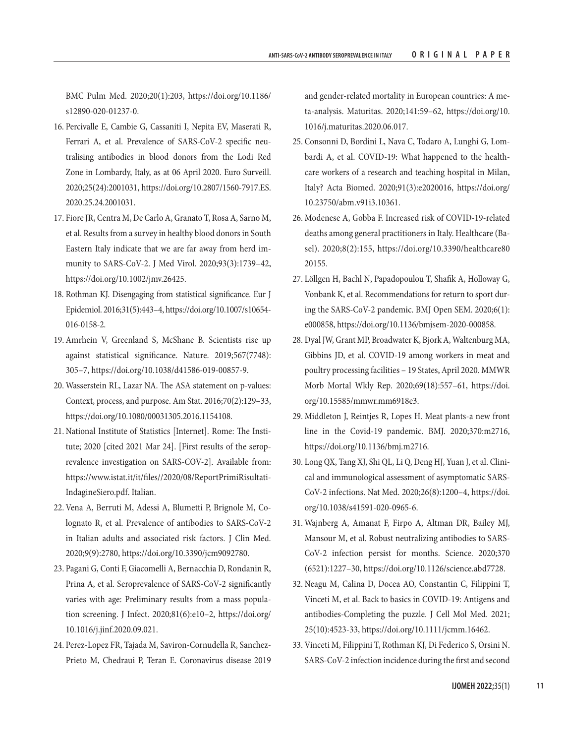BMC Pulm Med. 2020;20(1):203, [https://doi.org/10.1186/](https://doi.org/10.1186/s12890-020-01237-0) [s12890-020-01237-0.](https://doi.org/10.1186/s12890-020-01237-0)

- 16. Percivalle E, Cambie G, Cassaniti I, Nepita EV, Maserati R, Ferrari A, et al. Prevalence of SARS-CoV-2 specific neutralising antibodies in blood donors from the Lodi Red Zone in Lombardy, Italy, as at 06 April 2020. Euro Surveill. 2020;25(24):2001031, [https://doi.org/10.2807/1560-7917.ES.](https://doi.org/10.2807/1560-7917.ES.2020.25.24.2001031) [2020.25.24.2001031.](https://doi.org/10.2807/1560-7917.ES.2020.25.24.2001031)
- 17. Fiore JR, Centra M, De Carlo A, Granato T, Rosa A, Sarno M, et al. Results from a survey in healthy blood donors in South Eastern Italy indicate that we are far away from herd immunity to SARS-CoV-2. J Med Virol. 2020;93(3):1739–42, [https://doi.org/10.1002/jmv.26425.](https://doi.org/10.1002/jmv.26425)
- 18. Rothman KJ. Disengaging from statistical significance. Eur J Epidemiol. 2016;31(5):443–4, [https://doi.org/10.1007/s10654-](https://doi.org/10.1007/s10654-016-0158-2) [016-0158-2.](https://doi.org/10.1007/s10654-016-0158-2)
- 19. Amrhein V, Greenland S, McShane B. Scientists rise up against statistical significance. Nature. 2019;567(7748): 305–7, [https://doi.org/10.1038/d41586-019-00857-9.](https://doi.org/10.1038/d41586-019-00857-9)
- 20. Wasserstein RL, Lazar NA. The ASA statement on p-values: Context, process, and purpose. Am Stat. 2016;70(2):129–33, <https://doi.org/10.1080/00031305.2016.1154108>.
- 21. National Institute of Statistics [Internet]. Rome: The Institute; 2020 [cited 2021 Mar 24]. [First results of the seroprevalence investigation on SARS-COV-2]. Available from: [https://www.istat.it/it/files//2020/08/ReportPrimiRisultati-](https://www.istat.it/it/files//2020/08/ReportPrimiRisultatiIndagineSiero.pdf)[IndagineSiero.pdf.](https://www.istat.it/it/files//2020/08/ReportPrimiRisultatiIndagineSiero.pdf) Italian.
- 22. Vena A, Berruti M, Adessi A, Blumetti P, Brignole M, Colognato R, et al. Prevalence of antibodies to SARS-CoV-2 in Italian adults and associated risk factors. J Clin Med. 2020;9(9):2780, <https://doi.org/10.3390/jcm9092780>.
- 23. Pagani G, Conti F, Giacomelli A, Bernacchia D, Rondanin R, Prina A, et al. Seroprevalence of SARS-CoV-2 significantly varies with age: Preliminary results from a mass population screening. J Infect. 2020;81(6):e10–2, [https://doi.org/](https://doi.org/10.1016/j.jinf.2020.09.021) [10.1016/j.jinf.2020.09.021.](https://doi.org/10.1016/j.jinf.2020.09.021)
- 24. Perez-Lopez FR, Tajada M, Saviron-Cornudella R, Sanchez-Prieto M, Chedraui P, Teran E. Coronavirus disease 2019

and gender-related mortality in European countries: A meta-analysis. Maturitas. 2020;141:59–62, [https://doi.org/10.](https://doi.org/10.1016/j.maturitas.2020.06.017) [1016/j.maturitas.2020.06.017.](https://doi.org/10.1016/j.maturitas.2020.06.017)

- 25. Consonni D, Bordini L, Nava C, Todaro A, Lunghi G, Lombardi A, et al. COVID-19: What happened to the healthcare workers of a research and teaching hospital in Milan, Italy? Acta Biomed. 2020;91(3):e2020016, [https://doi.org/](https://doi.org/10.23750/abm.v91i3.10361) [10.23750/abm.v91i3.10361.](https://doi.org/10.23750/abm.v91i3.10361)
- 26. Modenese A, Gobba F. Increased risk of COVID-19-related deaths among general practitioners in Italy. Healthcare (Basel). 2020;8(2):155, [https://doi.org/10.3390/healthcare80](https://doi.org/10.3390/healthcare8020155) [20155.](https://doi.org/10.3390/healthcare8020155)
- 27. Löllgen H, Bachl N, Papadopoulou T, Shafik A, Holloway G, Vonbank K, et al. Recommendations for return to sport during the SARS-CoV-2 pandemic. BMJ Open SEM. 2020;6(1): e000858, [https://doi.org/10.1136/bmjsem-2020-000858.](https://doi.org/10.1136/bmjsem-2020-000858)
- 28. Dyal JW, Grant MP, Broadwater K, Bjork A, Waltenburg MA, Gibbins JD, et al. COVID-19 among workers in meat and poultry processing facilities – 19 States, April 2020. MMWR Morb Mortal Wkly Rep. 2020;69(18):557–61, [https://doi.](https://doi.org/10.15585/mmwr.mm6918e3) [org/10.15585/mmwr.mm6918e3.](https://doi.org/10.15585/mmwr.mm6918e3)
- 29. Middleton J, Reintjes R, Lopes H. Meat plants-a new front line in the Covid-19 pandemic. BMJ. 2020;370:m2716, <https://doi.org/10.1136/bmj.m2716>.
- 30. Long QX, Tang XJ, Shi QL, Li Q, Deng HJ, Yuan J, et al. Clinical and immunological assessment of asymptomatic SARS-CoV-2 infections. Nat Med. 2020;26(8):1200–4, [https://doi.](https://doi.org/10.1038/s41591-020-0965-6) [org/10.1038/s41591-020-0965-6](https://doi.org/10.1038/s41591-020-0965-6).
- 31. Wajnberg A, Amanat F, Firpo A, Altman DR, Bailey MJ, Mansour M, et al. Robust neutralizing antibodies to SARS-CoV-2 infection persist for months. Science. 2020;370 (6521):1227–30, [https://doi.org/10.1126/science.abd7728.](https://doi.org/10.1126/science.abd7728)
- 32. Neagu M, Calina D, Docea AO, Constantin C, Filippini T, Vinceti M, et al. Back to basics in COVID-19: Antigens and antibodies-Completing the puzzle. J Cell Mol Med. 2021; 25(10):4523-33, [https://doi.org/10.1111/jcmm.16462.](https://doi.org/10.1111/jcmm.16462)
- 33. Vinceti M, Filippini T, Rothman KJ, Di Federico S, Orsini N. SARS-CoV-2 infection incidence during the first and second